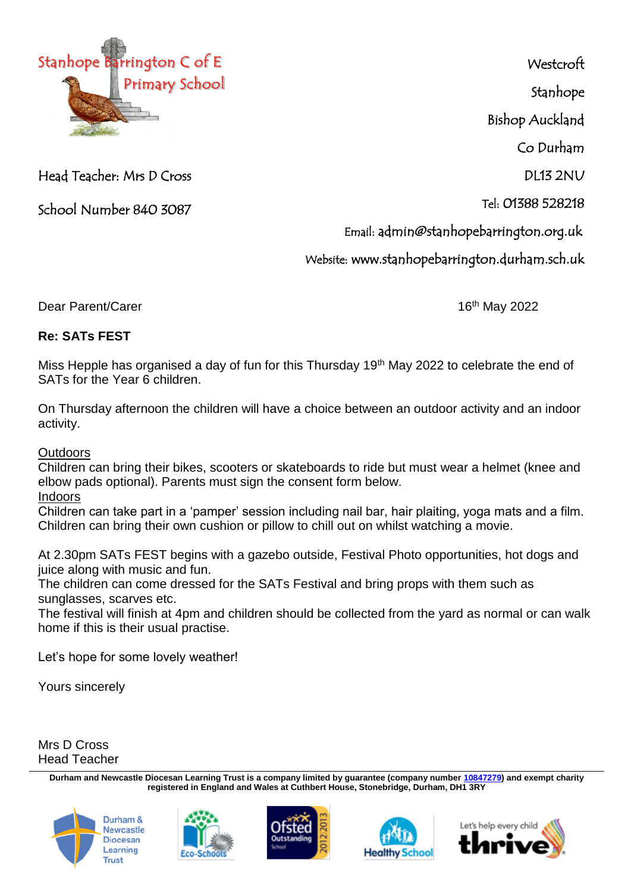

Head Teacher: Mrs D Cross

School Number 840 3087

**Westcroft** Stanhope Bishop Auckland

Co Durham

 $DI13 2NU$ 

Tel: 01388 528218

Email: admin@stanhopebarrington.org.uk

Website: www.stanhopebarrington.durham.sch.uk

Dear Parent/Carer 16th May 2022

## **Re: SATs FEST**

Miss Hepple has organised a day of fun for this Thursday 19<sup>th</sup> May 2022 to celebrate the end of SATs for the Year 6 children.

On Thursday afternoon the children will have a choice between an outdoor activity and an indoor activity.

**Outdoors** 

Children can bring their bikes, scooters or skateboards to ride but must wear a helmet (knee and elbow pads optional). Parents must sign the consent form below.

Indoors

Children can take part in a 'pamper' session including nail bar, hair plaiting, yoga mats and a film. Children can bring their own cushion or pillow to chill out on whilst watching a movie.

At 2.30pm SATs FEST begins with a gazebo outside, Festival Photo opportunities, hot dogs and juice along with music and fun.

The children can come dressed for the SATs Festival and bring props with them such as sunglasses, scarves etc.

The festival will finish at 4pm and children should be collected from the yard as normal or can walk home if this is their usual practise.

Let's hope for some lovely weather!

Yours sincerely

Mrs D Cross Head Teacher

> **Durham and Newcastle Diocesan Learning Trust is a company limited by guarantee (company number [10847279\)](tel:10847279) and exempt charity registered in England and Wales at Cuthbert House, Stonebridge, Durham, DH1 3RY**